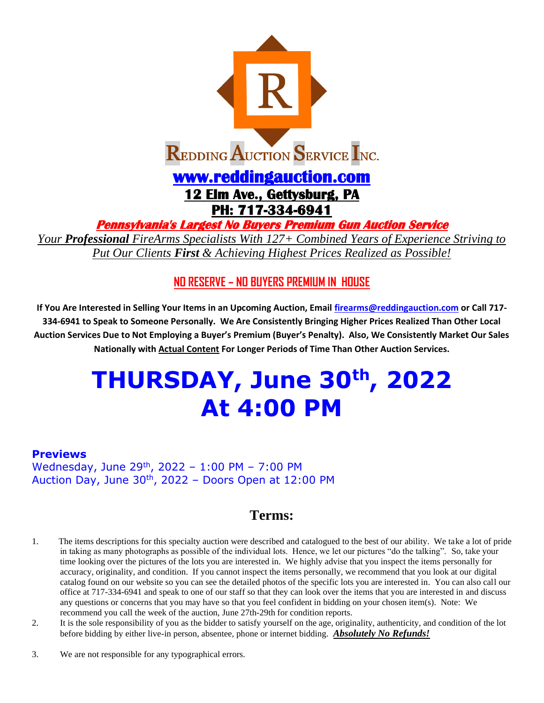

**Pennsylvania's Largest No Buyers Premium Gun Auction Service** 

*Your Professional FireArms Specialists With 127+ Combined Years of Experience Striving to Put Our Clients First & Achieving Highest Prices Realized as Possible!*

## **NO RESERVE – NO BUYERS PREMIUM IN HOUSE**

**If You Are Interested in Selling Your Items in an Upcoming Auction, Email [firearms@reddingauction.com](mailto:firearms@reddingauction.com) or Call 717- 334-6941 to Speak to Someone Personally. We Are Consistently Bringing Higher Prices Realized Than Other Local Auction Services Due to Not Employing a Buyer's Premium (Buyer's Penalty). Also, We Consistently Market Our Sales Nationally with Actual Content For Longer Periods of Time Than Other Auction Services.**

# **THURSDAY, June 30th, 2022 At 4:00 PM**

## **Previews**

Wednesday, June 29<sup>th</sup>, 2022 - 1:00 PM - 7:00 PM Auction Day, June  $30<sup>th</sup>$ , 2022 – Doors Open at 12:00 PM

## **Terms:**

- 1. The items descriptions for this specialty auction were described and catalogued to the best of our ability. We take a lot of pride in taking as many photographs as possible of the individual lots. Hence, we let our pictures "do the talking". So, take your time looking over the pictures of the lots you are interested in. We highly advise that you inspect the items personally for accuracy, originality, and condition. If you cannot inspect the items personally, we recommend that you look at our digital catalog found on our website so you can see the detailed photos of the specific lots you are interested in. You can also call our office at 717-334-6941 and speak to one of our staff so that they can look over the items that you are interested in and discuss any questions or concerns that you may have so that you feel confident in bidding on your chosen item(s). Note: We recommend you call the week of the auction, June 27th-29th for condition reports.
- 2. It is the sole responsibility of you as the bidder to satisfy yourself on the age, originality, authenticity, and condition of the lot before bidding by either live-in person, absentee, phone or internet bidding. *Absolutely No Refunds!*
- 3. We are not responsible for any typographical errors.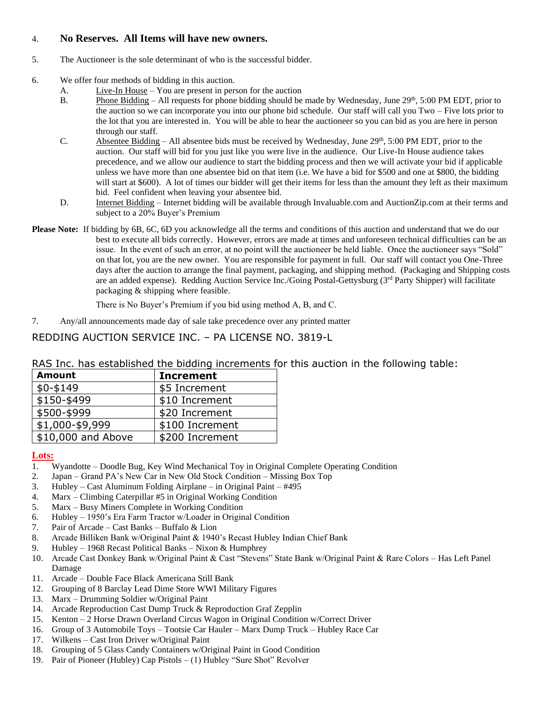## 4. **No Reserves. All Items will have new owners.**

- 5. The Auctioneer is the sole determinant of who is the successful bidder.
- 6. We offer four methods of bidding in this auction.
	- A. Live-In House You are present in person for the auction
	- B. Phone Bidding All requests for phone bidding should be made by Wednesday, June 29<sup>th</sup>, 5:00 PM EDT, prior to the auction so we can incorporate you into our phone bid schedule. Our staff will call you Two – Five lots prior to the lot that you are interested in. You will be able to hear the auctioneer so you can bid as you are here in person through our staff.
	- C. Absentee Bidding All absentee bids must be received by Wednesday, June  $29<sup>th</sup>$ , 5:00 PM EDT, prior to the auction. Our staff will bid for you just like you were live in the audience. Our Live-In House audience takes precedence, and we allow our audience to start the bidding process and then we will activate your bid if applicable unless we have more than one absentee bid on that item (i.e. We have a bid for \$500 and one at \$800, the bidding will start at \$600). A lot of times our bidder will get their items for less than the amount they left as their maximum bid. Feel confident when leaving your absentee bid.
	- D. **Internet Bidding** Internet bidding will be available through Invaluable.com and AuctionZip.com at their terms and subject to a 20% Buyer's Premium
- **Please Note:** If bidding by 6B, 6C, 6D you acknowledge all the terms and conditions of this auction and understand that we do our best to execute all bids correctly. However, errors are made at times and unforeseen technical difficulties can be an issue. In the event of such an error, at no point will the auctioneer be held liable. Once the auctioneer says "Sold" on that lot, you are the new owner. You are responsible for payment in full. Our staff will contact you One-Three days after the auction to arrange the final payment, packaging, and shipping method. (Packaging and Shipping costs are an added expense). Redding Auction Service Inc./Going Postal-Gettysburg (3<sup>rd</sup> Party Shipper) will facilitate packaging & shipping where feasible.

There is No Buyer's Premium if you bid using method A, B, and C.

7. Any/all announcements made day of sale take precedence over any printed matter

## REDDING AUCTION SERVICE INC. – PA LICENSE NO. 3819-L

| RAS Inc. has established the bidding increments for this auction in the following table: |  |
|------------------------------------------------------------------------------------------|--|
|------------------------------------------------------------------------------------------|--|

| <b>Amount</b>      | <b>Increment</b> |
|--------------------|------------------|
| $$0-$149$          | \$5 Increment    |
| \$150-\$499        | \$10 Increment   |
| \$500-\$999        | \$20 Increment   |
| \$1,000-\$9,999    | \$100 Increment  |
| \$10,000 and Above | \$200 Increment  |

#### **Lots:**

- 1. Wyandotte Doodle Bug, Key Wind Mechanical Toy in Original Complete Operating Condition
- 2. Japan Grand PA's New Car in New Old Stock Condition Missing Box Top
- 3. Hubley Cast Aluminum Folding Airplane in Original Paint #495
- 4. Marx Climbing Caterpillar #5 in Original Working Condition
- 5. Marx Busy Miners Complete in Working Condition
- 6. Hubley 1950's Era Farm Tractor w/Loader in Original Condition
- 7. Pair of Arcade Cast Banks Buffalo & Lion
- 8. Arcade Billiken Bank w/Original Paint & 1940's Recast Hubley Indian Chief Bank
- 9. Hubley 1968 Recast Political Banks Nixon & Humphrey
- 10. Arcade Cast Donkey Bank w/Original Paint & Cast "Stevens" State Bank w/Original Paint & Rare Colors Has Left Panel Damage
- 11. Arcade Double Face Black Americana Still Bank
- 12. Grouping of 8 Barclay Lead Dime Store WWI Military Figures
- 13. Marx Drumming Soldier w/Original Paint
- 14. Arcade Reproduction Cast Dump Truck & Reproduction Graf Zepplin
- 15. Kenton 2 Horse Drawn Overland Circus Wagon in Original Condition w/Correct Driver
- 16. Group of 3 Automobile Toys Tootsie Car Hauler Marx Dump Truck Hubley Race Car
- 17. Wilkens Cast Iron Driver w/Original Paint
- 18. Grouping of 5 Glass Candy Containers w/Original Paint in Good Condition
- 19. Pair of Pioneer (Hubley) Cap Pistols (1) Hubley "Sure Shot" Revolver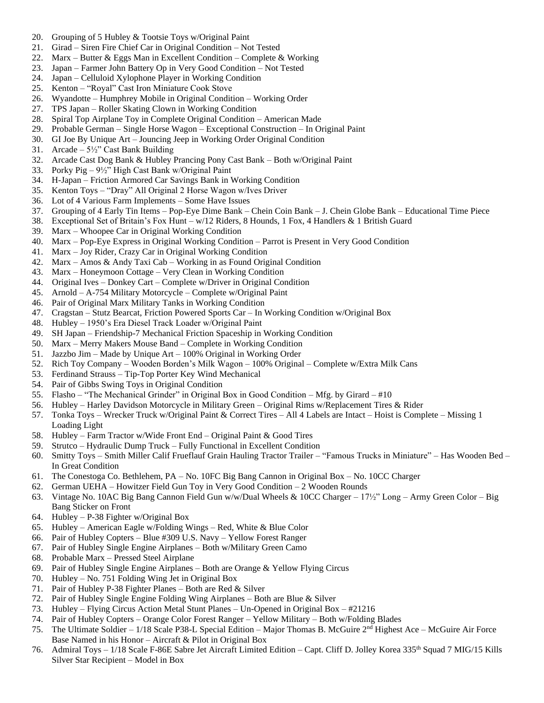- 20. Grouping of 5 Hubley & Tootsie Toys w/Original Paint
- 21. Girad Siren Fire Chief Car in Original Condition Not Tested
- 22. Marx Butter & Eggs Man in Excellent Condition Complete & Working
- 23. Japan Farmer John Battery Op in Very Good Condition Not Tested
- 24. Japan Celluloid Xylophone Player in Working Condition
- 25. Kenton "Royal" Cast Iron Miniature Cook Stove
- 26. Wyandotte Humphrey Mobile in Original Condition Working Order
- 27. TPS Japan Roller Skating Clown in Working Condition
- 28. Spiral Top Airplane Toy in Complete Original Condition American Made
- 29. Probable German Single Horse Wagon Exceptional Construction In Original Paint
- 30. GI Joe By Unique Art Jouncing Jeep in Working Order Original Condition
- 31. Arcade  $5\frac{1}{2}$ " Cast Bank Building
- 32. Arcade Cast Dog Bank & Hubley Prancing Pony Cast Bank Both w/Original Paint
- 33. Porky Pig 9½" High Cast Bank w/Original Paint
- 34. H-Japan Friction Armored Car Savings Bank in Working Condition
- 35. Kenton Toys "Dray" All Original 2 Horse Wagon w/Ives Driver
- 36. Lot of 4 Various Farm Implements Some Have Issues
- 37. Grouping of 4 Early Tin Items Pop-Eye Dime Bank Chein Coin Bank J. Chein Globe Bank Educational Time Piece
- 38. Exceptional Set of Britain's Fox Hunt w/12 Riders, 8 Hounds, 1 Fox, 4 Handlers & 1 British Guard
- 39. Marx Whoopee Car in Original Working Condition
- 40. Marx Pop-Eye Express in Original Working Condition Parrot is Present in Very Good Condition
- 41. Marx Joy Rider, Crazy Car in Original Working Condition
- 42. Marx Amos & Andy Taxi Cab Working in as Found Original Condition
- 43. Marx Honeymoon Cottage Very Clean in Working Condition
- 44. Original Ives Donkey Cart Complete w/Driver in Original Condition
- 45. Arnold A-754 Military Motorcycle Complete w/Original Paint
- 46. Pair of Original Marx Military Tanks in Working Condition
- 47. Cragstan Stutz Bearcat, Friction Powered Sports Car In Working Condition w/Original Box
- 48. Hubley 1950's Era Diesel Track Loader w/Original Paint
- 49. SH Japan Friendship-7 Mechanical Friction Spaceship in Working Condition
- 50. Marx Merry Makers Mouse Band Complete in Working Condition
- 51. Jazzbo Jim Made by Unique Art 100% Original in Working Order
- 52. Rich Toy Company Wooden Borden's Milk Wagon 100% Original Complete w/Extra Milk Cans
- 53. Ferdinand Strauss Tip-Top Porter Key Wind Mechanical
- 54. Pair of Gibbs Swing Toys in Original Condition
- 55. Flasho "The Mechanical Grinder" in Original Box in Good Condition Mfg. by Girard #10
- 56. Hubley Harley Davidson Motorcycle in Military Green Original Rims w/Replacement Tires & Rider
- 57. Tonka Toys Wrecker Truck w/Original Paint & Correct Tires All 4 Labels are Intact Hoist is Complete Missing 1 Loading Light
- 58. Hubley Farm Tractor w/Wide Front End Original Paint & Good Tires
- 59. Strutco Hydraulic Dump Truck Fully Functional in Excellent Condition
- 60. Smitty Toys Smith Miller Calif Frueflauf Grain Hauling Tractor Trailer "Famous Trucks in Miniature" Has Wooden Bed In Great Condition
- 61. The Conestoga Co. Bethlehem, PA No. 10FC Big Bang Cannon in Original Box No. 10CC Charger
- 62. German UEHA Howitzer Field Gun Toy in Very Good Condition 2 Wooden Rounds
- 63. Vintage No. 10AC Big Bang Cannon Field Gun w/w/Dual Wheels & 10CC Charger 17½" Long Army Green Color Big Bang Sticker on Front
- 64. Hubley P-38 Fighter w/Original Box
- 65. Hubley American Eagle w/Folding Wings Red, White & Blue Color
- 66. Pair of Hubley Copters Blue #309 U.S. Navy Yellow Forest Ranger
- 67. Pair of Hubley Single Engine Airplanes Both w/Military Green Camo
- 68. Probable Marx Pressed Steel Airplane
- 69. Pair of Hubley Single Engine Airplanes Both are Orange & Yellow Flying Circus
- 70. Hubley No. 751 Folding Wing Jet in Original Box
- 71. Pair of Hubley P-38 Fighter Planes Both are Red & Silver
- 72. Pair of Hubley Single Engine Folding Wing Airplanes Both are Blue & Silver
- 73. Hubley Flying Circus Action Metal Stunt Planes Un-Opened in Original Box #21216
- 74. Pair of Hubley Copters Orange Color Forest Ranger Yellow Military Both w/Folding Blades
- 75. The Ultimate Soldier 1/18 Scale P38-L Special Edition Major Thomas B. McGuire 2nd Highest Ace McGuire Air Force Base Named in his Honor – Aircraft & Pilot in Original Box
- 76. Admiral Toys 1/18 Scale F-86E Sabre Jet Aircraft Limited Edition Capt. Cliff D. Jolley Korea 335th Squad 7 MIG/15 Kills Silver Star Recipient – Model in Box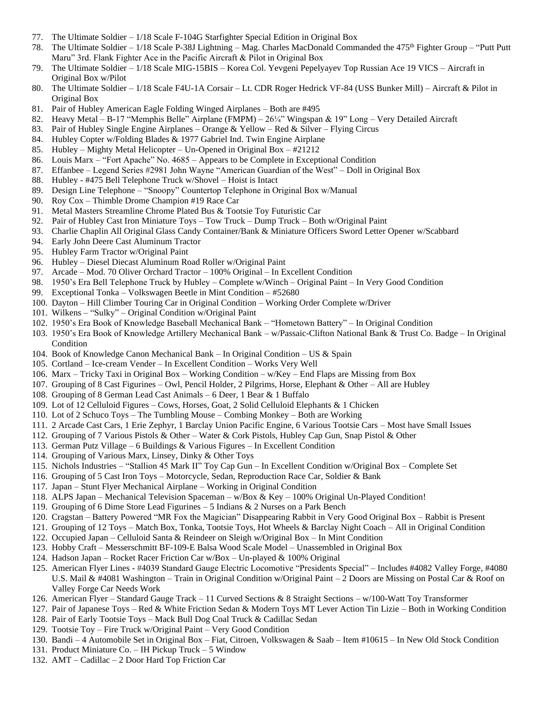- 77. The Ultimate Soldier 1/18 Scale F-104G Starfighter Special Edition in Original Box
- 78. The Ultimate Soldier 1/18 Scale P-38J Lightning Mag. Charles MacDonald Commanded the 475<sup>th</sup> Fighter Group "Putt Putt Maru" 3rd. Flank Fighter Ace in the Pacific Aircraft & Pilot in Original Box
- 79. The Ultimate Soldier 1/18 Scale MIG-15BIS Korea Col. Yevgeni Pepelyayev Top Russian Ace 19 VICS Aircraft in Original Box w/Pilot
- 80. The Ultimate Soldier 1/18 Scale F4U-1A Corsair Lt. CDR Roger Hedrick VF-84 (USS Bunker Mill) Aircraft & Pilot in Original Box
- 81. Pair of Hubley American Eagle Folding Winged Airplanes Both are #495
- 82. Heavy Metal B-17 "Memphis Belle" Airplane (FMPM) 26¼" Wingspan & 19" Long Very Detailed Aircraft
- 83. Pair of Hubley Single Engine Airplanes Orange & Yellow Red & Silver Flying Circus
- 84. Hubley Copter w/Folding Blades & 1977 Gabriel Ind. Twin Engine Airplane
- 85. Hubley Mighty Metal Helicopter Un-Opened in Original Box #21212
- 86. Louis Marx "Fort Apache" No. 4685 Appears to be Complete in Exceptional Condition
- 87. Effanbee Legend Series #2981 John Wayne "American Guardian of the West" Doll in Original Box
- 88. Hubley #475 Bell Telephone Truck w/Shovel Hoist is Intact
- 89. Design Line Telephone "Snoopy" Countertop Telephone in Original Box w/Manual
- 90. Roy Cox Thimble Drome Champion #19 Race Car
- 91. Metal Masters Streamline Chrome Plated Bus & Tootsie Toy Futuristic Car
- 92. Pair of Hubley Cast Iron Miniature Toys Tow Truck Dump Truck Both w/Original Paint
- 93. Charlie Chaplin All Original Glass Candy Container/Bank & Miniature Officers Sword Letter Opener w/Scabbard
- 94. Early John Deere Cast Aluminum Tractor
- 95. Hubley Farm Tractor w/Original Paint
- 96. Hubley Diesel Diecast Aluminum Road Roller w/Original Paint
- 97. Arcade Mod. 70 Oliver Orchard Tractor 100% Original In Excellent Condition
- 98. 1950's Era Bell Telephone Truck by Hubley Complete w/Winch Original Paint In Very Good Condition
- 99. Exceptional Tonka Volkswagen Beetle in Mint Condition #52680
- 100. Dayton Hill Climber Touring Car in Original Condition Working Order Complete w/Driver
- 101. Wilkens "Sulky" Original Condition w/Original Paint
- 102. 1950's Era Book of Knowledge Baseball Mechanical Bank "Hometown Battery" In Original Condition
- 103. 1950's Era Book of Knowledge Artillery Mechanical Bank w/Passaic-Clifton National Bank & Trust Co. Badge In Original Condition
- 104. Book of Knowledge Canon Mechanical Bank In Original Condition US & Spain
- 105. Cortland Ice-cream Vender In Excellent Condition Works Very Well
- 106. Marx Tricky Taxi in Original Box Working Condition w/Key End Flaps are Missing from Box
- 107. Grouping of 8 Cast Figurines Owl, Pencil Holder, 2 Pilgrims, Horse, Elephant & Other All are Hubley
- 108. Grouping of 8 German Lead Cast Animals 6 Deer, 1 Bear & 1 Buffalo
- 109. Lot of 12 Celluloid Figures Cows, Horses, Goat, 2 Solid Celluloid Elephants & 1 Chicken
- 110. Lot of 2 Schuco Toys The Tumbling Mouse Combing Monkey Both are Working
- 111. 2 Arcade Cast Cars, 1 Erie Zephyr, 1 Barclay Union Pacific Engine, 6 Various Tootsie Cars Most have Small Issues
- 112. Grouping of 7 Various Pistols & Other Water & Cork Pistols, Hubley Cap Gun, Snap Pistol & Other
- 113. German Putz Village 6 Buildings & Various Figures In Excellent Condition
- 114. Grouping of Various Marx, Linsey, Dinky & Other Toys
- 115. Nichols Industries "Stallion 45 Mark II" Toy Cap Gun In Excellent Condition w/Original Box Complete Set
- 116. Grouping of 5 Cast Iron Toys Motorcycle, Sedan, Reproduction Race Car, Soldier & Bank
- 117. Japan Stunt Flyer Mechanical Airplane Working in Original Condition
- 118. ALPS Japan Mechanical Television Spaceman w/Box & Key 100% Original Un-Played Condition!
- 119. Grouping of 6 Dime Store Lead Figurines  $-5$  Indians & 2 Nurses on a Park Bench
- 120. Cragstan Battery Powered "MR Fox the Magician" Disappearing Rabbit in Very Good Original Box Rabbit is Present
- 121. Grouping of 12 Toys Match Box, Tonka, Tootsie Toys, Hot Wheels & Barclay Night Coach All in Original Condition
- 122. Occupied Japan Celluloid Santa & Reindeer on Sleigh w/Original Box In Mint Condition
- 123. Hobby Craft Messerschmitt BF-109-E Balsa Wood Scale Model Unassembled in Original Box
- 124. Hadson Japan Rocket Racer Friction Car w/Box Un-played & 100% Original
- 125. American Flyer Lines #4039 Standard Gauge Electric Locomotive "Presidents Special" Includes #4082 Valley Forge, #4080 U.S. Mail & #4081 Washington – Train in Original Condition w/Original Paint – 2 Doors are Missing on Postal Car & Roof on Valley Forge Car Needs Work
- 126. American Flyer Standard Gauge Track 11 Curved Sections & 8 Straight Sections w/100-Watt Toy Transformer
- 127. Pair of Japanese Toys Red & White Friction Sedan & Modern Toys MT Lever Action Tin Lizie Both in Working Condition
- 128. Pair of Early Tootsie Toys Mack Bull Dog Coal Truck & Cadillac Sedan
- 129. Tootsie Toy Fire Truck w/Original Paint Very Good Condition
- 130. Bandi 4 Automobile Set in Original Box Fiat, Citroen, Volkswagen & Saab Item #10615 In New Old Stock Condition
- 131. Product Miniature Co. IH Pickup Truck 5 Window
- 132. AMT Cadillac 2 Door Hard Top Friction Car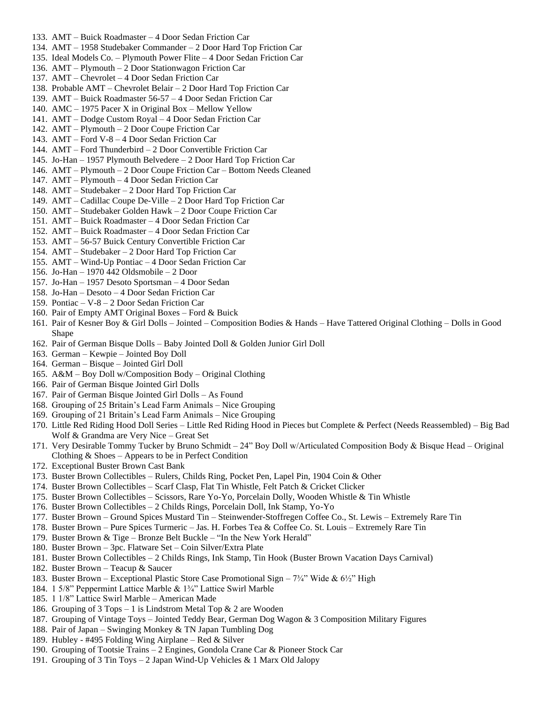- 133. AMT Buick Roadmaster 4 Door Sedan Friction Car
- 134. AMT 1958 Studebaker Commander 2 Door Hard Top Friction Car
- 135. Ideal Models Co. Plymouth Power Flite 4 Door Sedan Friction Car
- 136. AMT Plymouth 2 Door Stationwagon Friction Car
- 137. AMT Chevrolet 4 Door Sedan Friction Car
- 138. Probable AMT Chevrolet Belair 2 Door Hard Top Friction Car
- 139. AMT Buick Roadmaster 56-57 4 Door Sedan Friction Car
- 140. AMC 1975 Pacer X in Original Box Mellow Yellow
- 141. AMT Dodge Custom Royal 4 Door Sedan Friction Car
- 142. AMT Plymouth 2 Door Coupe Friction Car
- 143. AMT Ford V-8 4 Door Sedan Friction Car
- 144. AMT Ford Thunderbird 2 Door Convertible Friction Car
- 145. Jo-Han 1957 Plymouth Belvedere 2 Door Hard Top Friction Car
- 146. AMT Plymouth 2 Door Coupe Friction Car Bottom Needs Cleaned
- 147. AMT Plymouth 4 Door Sedan Friction Car
- 148. AMT Studebaker 2 Door Hard Top Friction Car
- 149. AMT Cadillac Coupe De-Ville 2 Door Hard Top Friction Car
- 150. AMT Studebaker Golden Hawk 2 Door Coupe Friction Car
- 151. AMT Buick Roadmaster 4 Door Sedan Friction Car
- 152. AMT Buick Roadmaster 4 Door Sedan Friction Car
- 153. AMT 56-57 Buick Century Convertible Friction Car
- 154. AMT Studebaker 2 Door Hard Top Friction Car
- 155. AMT Wind-Up Pontiac 4 Door Sedan Friction Car
- 156. Jo-Han 1970 442 Oldsmobile 2 Door
- 157. Jo-Han 1957 Desoto Sportsman 4 Door Sedan
- 158. Jo-Han Desoto 4 Door Sedan Friction Car
- 159. Pontiac V-8 2 Door Sedan Friction Car
- 160. Pair of Empty AMT Original Boxes Ford & Buick
- 161. Pair of Kesner Boy & Girl Dolls Jointed Composition Bodies & Hands Have Tattered Original Clothing Dolls in Good Shape
- 162. Pair of German Bisque Dolls Baby Jointed Doll & Golden Junior Girl Doll
- 163. German Kewpie Jointed Boy Doll
- 164. German Bisque Jointed Girl Doll
- 165. A&M Boy Doll w/Composition Body Original Clothing
- 166. Pair of German Bisque Jointed Girl Dolls
- 167. Pair of German Bisque Jointed Girl Dolls As Found
- 168. Grouping of 25 Britain's Lead Farm Animals Nice Grouping
- 169. Grouping of 21 Britain's Lead Farm Animals Nice Grouping
- 170. Little Red Riding Hood Doll Series Little Red Riding Hood in Pieces but Complete & Perfect (Needs Reassembled) Big Bad Wolf & Grandma are Very Nice – Great Set
- 171. Very Desirable Tommy Tucker by Bruno Schmidt 24" Boy Doll w/Articulated Composition Body & Bisque Head Original Clothing & Shoes – Appears to be in Perfect Condition
- 172. Exceptional Buster Brown Cast Bank
- 173. Buster Brown Collectibles Rulers, Childs Ring, Pocket Pen, Lapel Pin, 1904 Coin & Other
- 174. Buster Brown Collectibles Scarf Clasp, Flat Tin Whistle, Felt Patch & Cricket Clicker
- 175. Buster Brown Collectibles Scissors, Rare Yo-Yo, Porcelain Dolly, Wooden Whistle & Tin Whistle
- 176. Buster Brown Collectibles 2 Childs Rings, Porcelain Doll, Ink Stamp, Yo-Yo
- 177. Buster Brown Ground Spices Mustard Tin Steinwender-Stoffregen Coffee Co., St. Lewis Extremely Rare Tin
- 178. Buster Brown Pure Spices Turmeric Jas. H. Forbes Tea & Coffee Co. St. Louis Extremely Rare Tin
- 179. Buster Brown & Tige Bronze Belt Buckle "In the New York Herald"
- 180. Buster Brown 3pc. Flatware Set Coin Silver/Extra Plate
- 181. Buster Brown Collectibles 2 Childs Rings, Ink Stamp, Tin Hook (Buster Brown Vacation Days Carnival)
- 182. Buster Brown Teacup & Saucer
- 183. Buster Brown Exceptional Plastic Store Case Promotional Sign  $7\frac{3}{4}$ " Wide &  $6\frac{1}{2}$ " High
- 184. 1 5/8" Peppermint Lattice Marble & 1¾" Lattice Swirl Marble
- 185. 1 1/8" Lattice Swirl Marble American Made
- 186. Grouping of 3 Tops 1 is Lindstrom Metal Top & 2 are Wooden
- 187. Grouping of Vintage Toys Jointed Teddy Bear, German Dog Wagon & 3 Composition Military Figures
- 188. Pair of Japan Swinging Monkey & TN Japan Tumbling Dog
- 189. Hubley #495 Folding Wing Airplane Red & Silver
- 190. Grouping of Tootsie Trains 2 Engines, Gondola Crane Car & Pioneer Stock Car
- 191. Grouping of 3 Tin Toys  $-2$  Japan Wind-Up Vehicles & 1 Marx Old Jalopy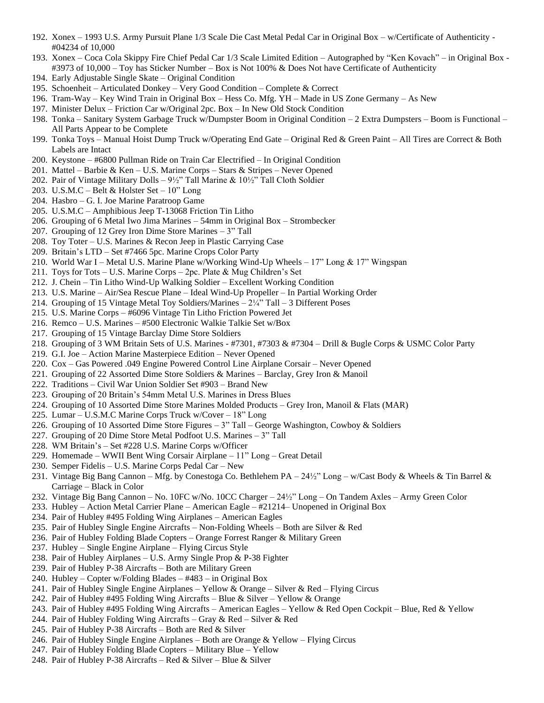- 192. Xonex 1993 U.S. Army Pursuit Plane 1/3 Scale Die Cast Metal Pedal Car in Original Box w/Certificate of Authenticity #04234 of 10,000
- 193. Xonex Coca Cola Skippy Fire Chief Pedal Car 1/3 Scale Limited Edition Autographed by "Ken Kovach" in Original Box #3973 of 10,000 – Toy has Sticker Number – Box is Not 100% & Does Not have Certificate of Authenticity
- 194. Early Adjustable Single Skate Original Condition
- 195. Schoenheit Articulated Donkey Very Good Condition Complete & Correct
- 196. Tram-Way Key Wind Train in Original Box Hess Co. Mfg. YH Made in US Zone Germany As New
- 197. Minister Delux Friction Car w/Original 2pc. Box In New Old Stock Condition
- 198. Tonka Sanitary System Garbage Truck w/Dumpster Boom in Original Condition 2 Extra Dumpsters Boom is Functional All Parts Appear to be Complete
- 199. Tonka Toys Manual Hoist Dump Truck w/Operating End Gate Original Red & Green Paint All Tires are Correct & Both Labels are Intact
- 200. Keystone #6800 Pullman Ride on Train Car Electrified In Original Condition
- 201. Mattel Barbie & Ken U.S. Marine Corps Stars & Stripes Never Opened
- 202. Pair of Vintage Military Dolls 9½" Tall Marine & 10½" Tall Cloth Soldier
- 203. U.S.M.C Belt & Holster Set 10" Long
- 204. Hasbro G. I. Joe Marine Paratroop Game
- 205. U.S.M.C Amphibious Jeep T-13068 Friction Tin Litho
- 206. Grouping of 6 Metal Iwo Jima Marines 54mm in Original Box Strombecker
- 207. Grouping of 12 Grey Iron Dime Store Marines 3" Tall
- 208. Toy Toter U.S. Marines & Recon Jeep in Plastic Carrying Case
- 209. Britain's LTD Set #7466 5pc. Marine Crops Color Party
- 210. World War I Metal U.S. Marine Plane w/Working Wind-Up Wheels 17" Long & 17" Wingspan
- 211. Toys for Tots U.S. Marine Corps 2pc. Plate & Mug Children's Set
- 212. J. Chein Tin Litho Wind-Up Walking Soldier Excellent Working Condition
- 213. U.S. Marine Air/Sea Rescue Plane Ideal Wind-Up Propeller In Partial Working Order
- 214. Grouping of 15 Vintage Metal Toy Soldiers/Marines 2¼" Tall 3 Different Poses
- 215. U.S. Marine Corps #6096 Vintage Tin Litho Friction Powered Jet
- 216. Remco U.S. Marines #500 Electronic Walkie Talkie Set w/Box
- 217. Grouping of 15 Vintage Barclay Dime Store Soldiers
- 218. Grouping of 3 WM Britain Sets of U.S. Marines #7301, #7303 & #7304 Drill & Bugle Corps & USMC Color Party
- 219. G.I. Joe Action Marine Masterpiece Edition Never Opened
- 220. Cox Gas Powered .049 Engine Powered Control Line Airplane Corsair Never Opened
- 221. Grouping of 22 Assorted Dime Store Soldiers & Marines Barclay, Grey Iron & Manoil
- 222. Traditions Civil War Union Soldier Set #903 Brand New
- 223. Grouping of 20 Britain's 54mm Metal U.S. Marines in Dress Blues
- 224. Grouping of 10 Assorted Dime Store Marines Molded Products Grey Iron, Manoil & Flats (MAR)
- 225. Lumar U.S.M.C Marine Corps Truck w/Cover 18" Long
- 226. Grouping of 10 Assorted Dime Store Figures 3" Tall George Washington, Cowboy & Soldiers
- 227. Grouping of 20 Dime Store Metal Podfoot U.S. Marines 3" Tall
- 228. WM Britain's Set #228 U.S. Marine Corps w/Officer
- 229. Homemade WWII Bent Wing Corsair Airplane 11" Long Great Detail
- 230. Semper Fidelis U.S. Marine Corps Pedal Car New
- 231. Vintage Big Bang Cannon Mfg. by Conestoga Co. Bethlehem PA 24½" Long w/Cast Body & Wheels & Tin Barrel & Carriage – Black in Color
- 232. Vintage Big Bang Cannon No. 10FC w/No. 10CC Charger 24½" Long On Tandem Axles Army Green Color
- 233. Hubley Action Metal Carrier Plane American Eagle #21214– Unopened in Original Box
- 234. Pair of Hubley #495 Folding Wing Airplanes American Eagles
- 235. Pair of Hubley Single Engine Aircrafts Non-Folding Wheels Both are Silver & Red
- 236. Pair of Hubley Folding Blade Copters Orange Forrest Ranger & Military Green
- 237. Hubley Single Engine Airplane Flying Circus Style
- 238. Pair of Hubley Airplanes U.S. Army Single Prop & P-38 Fighter
- 239. Pair of Hubley P-38 Aircrafts Both are Military Green
- 240. Hubley Copter w/Folding Blades #483 in Original Box
- 241. Pair of Hubley Single Engine Airplanes Yellow & Orange Silver & Red Flying Circus
- 242. Pair of Hubley #495 Folding Wing Aircrafts Blue & Silver Yellow & Orange
- 243. Pair of Hubley #495 Folding Wing Aircrafts American Eagles Yellow & Red Open Cockpit Blue, Red & Yellow
- 244. Pair of Hubley Folding Wing Aircrafts Gray & Red Silver & Red
- 245. Pair of Hubley P-38 Aircrafts Both are Red & Silver
- 246. Pair of Hubley Single Engine Airplanes Both are Orange & Yellow Flying Circus
- 247. Pair of Hubley Folding Blade Copters Military Blue Yellow
- 248. Pair of Hubley P-38 Aircrafts Red & Silver Blue & Silver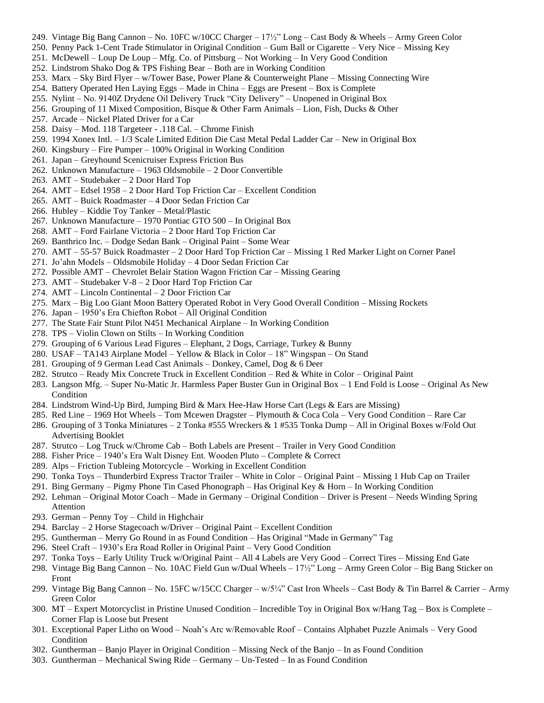- 249. Vintage Big Bang Cannon No. 10FC w/10CC Charger 17½" Long Cast Body & Wheels Army Green Color
- 250. Penny Pack 1-Cent Trade Stimulator in Original Condition Gum Ball or Cigarette Very Nice Missing Key
- 251. McDewell Loup De Loup Mfg. Co. of Pittsburg Not Working In Very Good Condition
- 252. Lindstrom Shako Dog & TPS Fishing Bear Both are in Working Condition
- 253. Marx Sky Bird Flyer w/Tower Base, Power Plane & Counterweight Plane Missing Connecting Wire
- 254. Battery Operated Hen Laying Eggs Made in China Eggs are Present Box is Complete
- 255. Nylint No. 9140Z Drydene Oil Delivery Truck "City Delivery" Unopened in Original Box
- 256. Grouping of 11 Mixed Composition, Bisque & Other Farm Animals Lion, Fish, Ducks & Other
- 257. Arcade Nickel Plated Driver for a Car
- 258. Daisy Mod. 118 Targeteer .118 Cal. Chrome Finish
- 259. 1994 Xonex Intl. 1/3 Scale Limited Edition Die Cast Metal Pedal Ladder Car New in Original Box
- 260. Kingsbury Fire Pumper 100% Original in Working Condition
- 261. Japan Greyhound Scenicruiser Express Friction Bus
- 262. Unknown Manufacture 1963 Oldsmobile 2 Door Convertible
- 263. AMT Studebaker 2 Door Hard Top
- 264. AMT Edsel 1958 2 Door Hard Top Friction Car Excellent Condition
- 265. AMT Buick Roadmaster 4 Door Sedan Friction Car
- 266. Hubley Kiddie Toy Tanker Metal/Plastic
- 267. Unknown Manufacture 1970 Pontiac GTO 500 In Original Box
- 268. AMT Ford Fairlane Victoria 2 Door Hard Top Friction Car
- 269. Banthrico Inc. Dodge Sedan Bank Original Paint Some Wear
- 270. AMT 55-57 Buick Roadmaster 2 Door Hard Top Friction Car Missing 1 Red Marker Light on Corner Panel
- 271. Jo'ahn Models Oldsmobile Holiday 4 Door Sedan Friction Car
- 272. Possible AMT Chevrolet Belair Station Wagon Friction Car Missing Gearing
- 273. AMT Studebaker V-8 2 Door Hard Top Friction Car
- 274. AMT Lincoln Continental 2 Door Friction Car
- 275. Marx Big Loo Giant Moon Battery Operated Robot in Very Good Overall Condition Missing Rockets
- 276. Japan 1950's Era Chiefton Robot All Original Condition
- 277. The State Fair Stunt Pilot N451 Mechanical Airplane In Working Condition
- 278. TPS Violin Clown on Stilts In Working Condition
- 279. Grouping of 6 Various Lead Figures Elephant, 2 Dogs, Carriage, Turkey & Bunny
- 280. USAF TA143 Airplane Model Yellow & Black in Color 18" Wingspan On Stand
- 281. Grouping of 9 German Lead Cast Animals Donkey, Camel, Dog & 6 Deer
- 282. Strutco Ready Mix Concrete Truck in Excellent Condition Red & White in Color Original Paint
- 283. Langson Mfg. Super Nu-Matic Jr. Harmless Paper Buster Gun in Original Box 1 End Fold is Loose Original As New Condition
- 284. Lindstrom Wind-Up Bird, Jumping Bird & Marx Hee-Haw Horse Cart (Legs & Ears are Missing)
- 285. Red Line 1969 Hot Wheels Tom Mcewen Dragster Plymouth & Coca Cola Very Good Condition Rare Car
- 286. Grouping of 3 Tonka Miniatures 2 Tonka #555 Wreckers & 1 #535 Tonka Dump All in Original Boxes w/Fold Out Advertising Booklet
- 287. Strutco Log Truck w/Chrome Cab Both Labels are Present Trailer in Very Good Condition
- 288. Fisher Price 1940's Era Walt Disney Ent. Wooden Pluto Complete & Correct
- 289. Alps Friction Tubleing Motorcycle Working in Excellent Condition
- 290. Tonka Toys Thunderbird Express Tractor Trailer White in Color Original Paint Missing 1 Hub Cap on Trailer
- 291. Bing Germany Pigmy Phone Tin Cased Phonograph Has Original Key & Horn In Working Condition
- 292. Lehman Original Motor Coach Made in Germany Original Condition Driver is Present Needs Winding Spring Attention
- 293. German Penny Toy Child in Highchair
- 294. Barclay 2 Horse Stagecoach w/Driver Original Paint Excellent Condition
- 295. Guntherman Merry Go Round in as Found Condition Has Original "Made in Germany" Tag
- 296. Steel Craft 1930's Era Road Roller in Original Paint Very Good Condition
- 297. Tonka Toys Early Utility Truck w/Original Paint All 4 Labels are Very Good Correct Tires Missing End Gate
- 298. Vintage Big Bang Cannon No. 10AC Field Gun w/Dual Wheels 17½" Long Army Green Color Big Bang Sticker on Front
- 299. Vintage Big Bang Cannon No. 15FC w/15CC Charger w/5¼" Cast Iron Wheels Cast Body & Tin Barrel & Carrier Army Green Color
- 300. MT Expert Motorcyclist in Pristine Unused Condition Incredible Toy in Original Box w/Hang Tag Box is Complete Corner Flap is Loose but Present
- 301. Exceptional Paper Litho on Wood Noah's Arc w/Removable Roof Contains Alphabet Puzzle Animals Very Good Condition
- 302. Guntherman Banjo Player in Original Condition Missing Neck of the Banjo In as Found Condition
- 303. Guntherman Mechanical Swing Ride Germany Un-Tested In as Found Condition